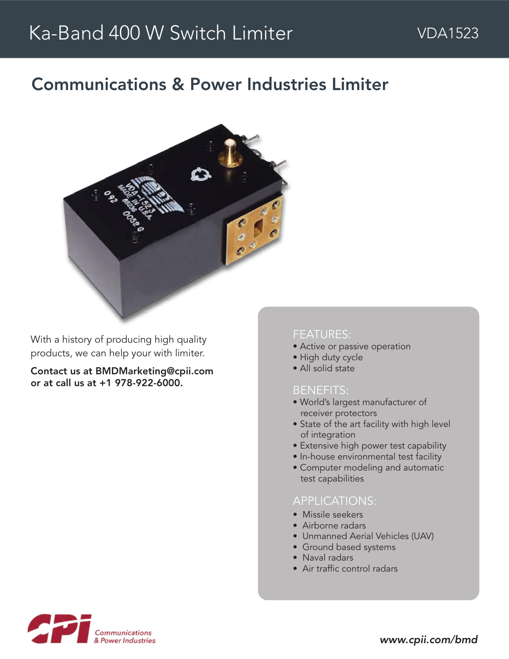# Communications & Power Industries Limiter



With a history of producing high quality products, we can help your with limiter.

Contact us at BMDMarketing@cpii.com or at call us at +1 978-922-6000.

#### FEATURES:

- Active or passive operation
- High duty cycle
- All solid state

#### BENEFITS:

- World's largest manufacturer of receiver protectors
- State of the art facility with high level of integration
- Extensive high power test capability
- In-house environmental test facility
- Computer modeling and automatic test capabilities

## APPLICATIONS:

- Missile seekers
- Airborne radars
- Unmanned Aerial Vehicles (UAV)
- Ground based systems
- Naval radars
- Air traffic control radars